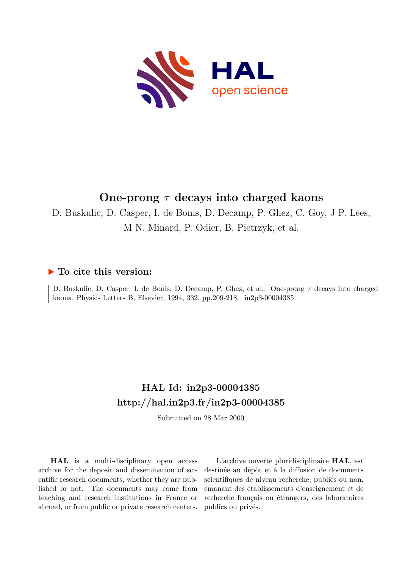

# **One-prong** *τ* **decays into charged kaons**

D. Buskulic, D. Casper, I. de Bonis, D. Decamp, P. Ghez, C. Goy, J P. Lees, M N. Minard, P. Odier, B. Pietrzyk, et al.

#### **To cite this version:**

D. Buskulic, D. Casper, I. de Bonis, D. Decamp, P. Ghez, et al.. One-prong *τ* decays into charged kaons. Physics Letters B, Elsevier, 1994, 332, pp.209-218. in2p3-00004385

# **HAL Id: in2p3-00004385 <http://hal.in2p3.fr/in2p3-00004385>**

Submitted on 28 Mar 2000

**HAL** is a multi-disciplinary open access archive for the deposit and dissemination of scientific research documents, whether they are published or not. The documents may come from teaching and research institutions in France or abroad, or from public or private research centers.

L'archive ouverte pluridisciplinaire **HAL**, est destinée au dépôt et à la diffusion de documents scientifiques de niveau recherche, publiés ou non, émanant des établissements d'enseignement et de recherche français ou étrangers, des laboratoires publics ou privés.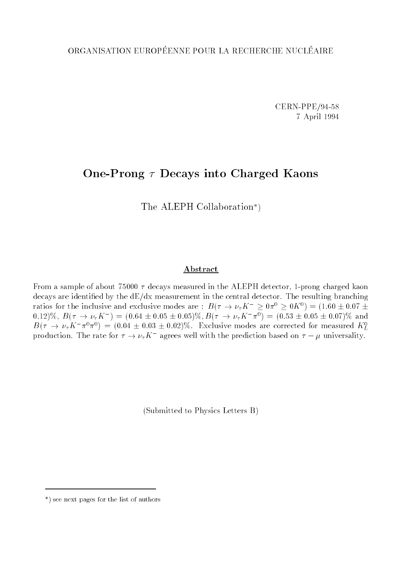CERN-PPE/94-58 7 April 1994

# One-Prong  $\tau$  Decays into Charged Kaons

The ALEPH Collaboration\*)

#### Abstract

From a sample of about 75000  $\tau$  decays measured in the ALEPH detector, 1-prong charged kaon decays are identied by the dE/dx measurement in the central detector. The resulting branching ratios for the inclusive and exclusive modes are :  $B(\tau \to \nu_{\tau} K^{-} \ge 0 \pi^{0} \ge 0 K^{0}) = (1.60 \pm 0.07 \pm 0.07)$  $(0.12)\%$ ,  $B(\tau \to \nu_{\tau}K)$  = (0.64  $\pm$  0.05  $\pm$  0.05)%,  $B(\tau \to \nu_{\tau}K)$   $\pi^{\circ})$  = (0.53  $\pm$  0.05  $\pm$  0.07)% and  $B(\tau \to \nu_{\tau} K \pi^* \tau^*) = (0.04 \pm 0.03 \pm 0.02)\%$ . Exclusive modes are corrected for measured  $K_L^*$ production. The rate for  $\tau \to \nu_\tau K^-$  agrees well with the prediction based on  $\tau - \mu$  universality.

(Submitted to Physics Letters B)

<sup>\*)</sup> see next pages for the list of authors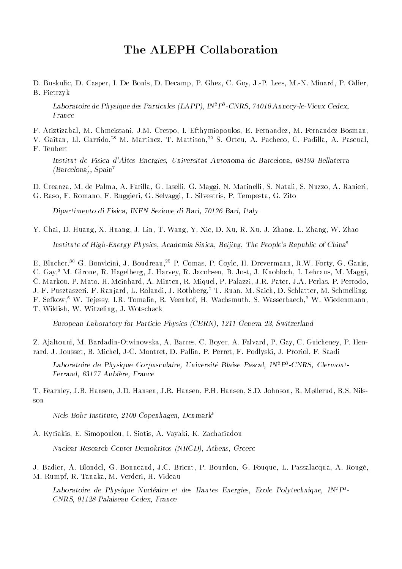D. Buskulic, D. Casper, I. De Bonis, D. Decamp, P. Ghez, C. Goy, J.-P. Lees, M.-N. Minard, P. Odier, B. Pietrzyk

Laboratoire de Physique des Particules (LAPP), INTP3-CNRS, 74019 Annecy-le-Vieux Cedex, France

F. Ariztizabal, M. Chmeissani, J.M. Crespo, I. Efthymiopoulos, E. Fernandez, M. Fernandez-Bosman,

V. Gaitan, Ll. Garrido,<sup>28</sup> M. Martinez, T. Mattison,<sup>29</sup> S. Orteu, A. Pacheco, C. Padilla, A. Pascual, F. Teubert

Institut de Fisica d'Altes Energies, Universitat Autonoma de Barcelona, 08193 Bellaterra (Barcelona), Spain7

D. Creanza, M. de Palma, A. Farilla, G. Iaselli, G. Maggi, N. Marinelli, S. Natali, S. Nuzzo, A. Ranieri, G. Raso, F. Romano, F. Ruggieri, G. Selvaggi, L. Silvestris, P. Tempesta, G. Zito

Dipartimento di Fisica, INFN Sezione di Bari, 70126 Bari, Italy

Y. Chai, D. Huang, X. Huang, J. Lin, T. Wang, Y. Xie, D. Xu, R. Xu, J. Zhang, L. Zhang, W. Zhao

Institute of High-Energy Physics, Academia Sinica, Beijing, The People's Republic of China<sup>8</sup>

E. Blucher,<sup>30</sup> G. Bonvicini, J. Boudreau,<sup>25</sup> P. Comas, P. Coyle, H. Drevermann, R.W. Forty, G. Ganis, C. Gay,3 M. Girone, R. Hagelberg, J. Harvey, R. Jacobsen, B. Jost, J. Knobloch, I. Lehraus, M. Maggi, C. Markou, P. Mato, H. Meinhard, A. Minten, R. Miquel, P. Palazzi, J.R. Pater, J.A. Perlas, P. Perrodo, J.-F. Pusztaszeri, F. Ranjard, L. Rolandi, J. Rothberg,<sup>2</sup> T. Ruan, M. Saich, D. Schlatter, M. Schmelling, F. Sefkow,<sup>6</sup> W. Tejessy, I.R. Tomalin, R. Veenhof, H. Wachsmuth, S. Wasserbaech,<sup>2</sup> W. Wiedenmann, T. Wildish, W. Witzeling, J. Wotschack

European Laboratory for Particle Physics (CERN), 1211 Geneva 23, Switzerland

Z. Ajaltouni, M. Bardadin-Otwinowska, A. Barres, C. Boyer, A. Falvard, P. Gay, C. Guicheney, P. Henrard, J. Jousset, B. Michel, J-C. Montret, D. Pallin, P. Perret, F. Podlyski, J. Proriol, F. Saadi

Laboratoire de Physique Corpusculaire, Universite Blaise Pascal, IN<sup>2</sup>P3-CNRS, Clermont-Ferrand, 63177 Aubiere, France

T. Fearnley, J.B. Hansen, J.D. Hansen, J.R. Hansen, P.H. Hansen, S.D. Johnson, R. Møllerud, B.S. Nilsson

Niels Bohr Institute, 2100 Copenhagen, Denmark<sup>9</sup>

A. Kyriakis, E. Simopoulou, I. Siotis, A. Vayaki, K. Zachariadou

Nuclear Research Center Demokritos (NRCD), Athens, Greece

J. Badier, A. Blondel, G. Bonneaud, J.C. Brient, P. Bourdon, G. Fouque, L. Passalacqua, A. Rouge, M. Rumpf, R. Tanaka, M. Verderi, H. Videau

Laboratoire de Physique Nucleaire et des Hautes Energies, Ecole Polytechnique, IN2P3 - CNRS, 91128 Palaiseau Cedex, France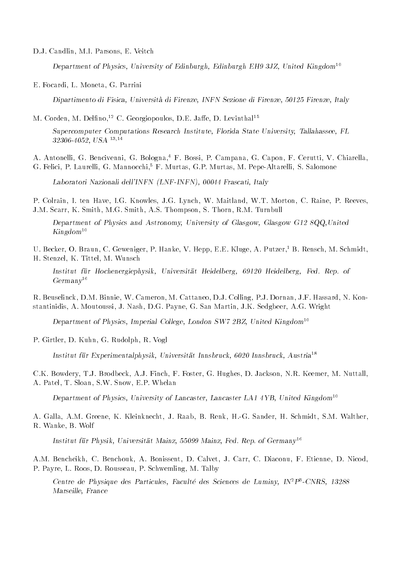D.J. Candlin, M.I. Parsons, E. Veitch

Department of Physics, University of Edinburgh, Edinburgh EH9 3JZ, United Kingdom<sup>10</sup>

E. Focardi, L. Moneta, G. Parrini

Dipartimento di Fisica, Universita di Firenze, INFN Sezione di Firenze, 50125 Firenze, Italy

M. Corden, M. Delfino,<sup>12</sup> C. Georgiopoulos, D.E. Jaffe, D. Levinthal<sup>15</sup>

Supercomputer Computations Research Institute, Florida State University, Tallahassee, FL 32306-4052, USA 13;14

A. Antonelli, G. Bencivenni, G. Bologna,<sup>4</sup> F. Bossi, P. Campana, G. Capon, F. Cerutti, V. Chiarella, G. Felici, P. Laurelli, G. Mannocchi,<sup>5</sup> F. Murtas, G.P. Murtas, M. Pepe-Altarelli, S. Salomone

Laboratori Nazionali dell'INFN (LNF-INFN), 00044 Frascati, Italy

P. Colrain, I. ten Have, I.G. Knowles, J.G. Lynch, W. Maitland, W.T. Morton, C. Raine, P. Reeves, J.M. Scarr, K. Smith, M.G. Smith, A.S. Thompson, S. Thorn, R.M. Turnbull

Department of Physics and Astronomy, University of Glasgow, Glasgow G12 8QQ,United  $Kingdom^{10}$ 

U. Becker, O. Braun, C. Geweniger, P. Hanke, V. Hepp, E.E. Kluge, A. Putzer,<sup>1</sup> B. Rensch, M. Schmidt, H. Stenzel, K. Tittel, M. Wunsch

Institut für Hochenergiephysik, Universität Heidelberg, 69120 Heidelberg, Fed. Rep. of  $Germanv^{16}$ 

R. Beuselinck, D.M. Binnie, W. Cameron, M. Cattaneo, D.J. Colling, P.J. Dornan, J.F. Hassard, N. Konstantinidis, A. Moutoussi, J. Nash, D.G. Payne, G. San Martin, J.K. Sedgbeer, A.G. Wright

Department of Physics, Imperial College, London SW7 2BZ, United Kingdom<sup>10</sup>

P. Girtler, D. Kuhn, G. Rudolph, R. Vogl

Institut für Experimentalphysik, Universität Innsbruck, 6020 Innsbruck, Austria<sup>18</sup>

C.K. Bowdery, T.J. Brodbeck, A.J. Finch, F. Foster, G. Hughes, D. Jackson, N.R. Keemer, M. Nuttall, A. Patel, T. Sloan, S.W. Snow, E.P. Whelan

Department of Physics, University of Lancaster, Lancaster LA1 4YB, United Kingdom<sup>10</sup>

A. Galla, A.M. Greene, K. Kleinknecht, J. Raab, B. Renk, H.-G. Sander, H. Schmidt, S.M. Walther, R. Wanke, B. Wolf

Institut für Physik, Universität Mainz, 55099 Mainz, Fed. Rep. of Germany<sup>16</sup>

A.M. Bencheikh, C. Benchouk, A. Bonissent, D. Calvet, J. Carr, C. Diaconu, F. Etienne, D. Nicod, P. Payre, L. Roos, D. Rousseau, P. Schwemling, M. Talby

Centre de Physique des Particules, Paculte des Sciences de Luminy, INPP-CNRS, 19200 Marseille, France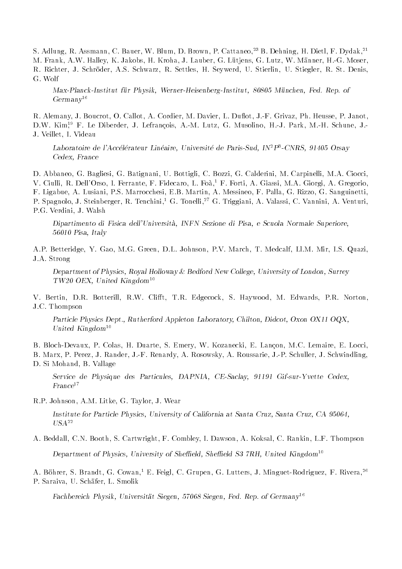S. Adlung, R. Assmann, C. Bauer, W. Blum, D. Brown, P. Cattaneo,<sup>23</sup> B. Dehning, H. Dietl, F. Dydak,<sup>21</sup> M. Frank, A.W. Halley, K. Jakobs, H. Kroha, J. Lauber, G. Lütjens, G. Lutz, W. Männer, H.-G. Moser, R. Richter, J. Schroder, A.S. Schwarz, R. Settles, H. Seywerd, U. Stierlin, U. Stiegler, R. St. Denis, G. Wolf

Max-Planck-Institut fur Physik, Werner-Heisenberg-Institut, 80805 Munchen, Fed. Rep. of  $Germanv^{16}$ 

R. Alemany, J. Boucrot, O. Callot, A. Cordier, M. Davier, L. Duflot, J.-F. Grivaz, Ph. Heusse, P. Janot, D.W. Kim<sup>19</sup> F. Le Diberder, J. Lefrançois, A.-M. Lutz, G. Musolino, H.-J. Park, M.-H. Schune, J.-J. Veillet, I. Videau

 $\emph{Laboratoire de l'Accélérateur Linéaire, Université de Paris-Sud, IN<sup>2</sup>P<sup>3</sup>-CNRS, 91405 Orsay}$ Cedex, France

D. Abbaneo, G. Bagliesi, G. Batignani, U. Bottigli, C. Bozzi, G. Calderini, M. Carpinelli, M.A. Ciocci, V. Ciulli, R. Dell'Orso, I. Ferrante, F. Fidecaro, L. Foà,<sup>1</sup> F. Forti, A. Giassi, M.A. Giorgi, A. Gregorio, F. Ligabue, A. Lusiani, P.S. Marrocchesi, E.B. Martin, A. Messineo, F. Palla, G. Rizzo, G. Sanguinetti, P. Spagnolo, J. Steinberger, R. Tenchini,<sup>1</sup> G. Tonelli,<sup>27</sup> G. Triggiani, A. Valassi, C. Vannini, A. Venturi, P.G. Verdini, J. Walsh

Dipartimento di Fisica dell'Universita, INFN Sezione di Pisa, e Scuola Normale Superiore, 56010 Pisa, Italy

A.P. Betteridge, Y. Gao, M.G. Green, D.L. Johnson, P.V. March, T. Medcalf, Ll.M. Mir, I.S. Quazi, J.A. Strong

Department of Physics, Royal Holloway & Bedford New College, University of London, Surrey  $TW20$  OEX, United Kingdom<sup>10</sup>

V. Bertin, D.R. Botterill, R.W. Clifft, T.R. Edgecock, S. Haywood, M. Edwards, P.R. Norton, J.C. Thompson

Particle Physics Dept., Rutherford Appleton Laboratory, Chilton, Didcot, Oxon OX11 OQX, United Kingdom<sup>10</sup>

B. Bloch-Devaux, P. Colas, H. Duarte, S. Emery, W. Kozanecki, E. Lancon, M.C. Lemaire, E. Locci, B. Marx, P. Perez, J. Rander, J.-F. Renardy, A. Rosowsky, A. Roussarie, J.-P. Schuller, J. Schwindling, D. Si Mohand, B. Vallage

Service de Physique des Particules, DAPNIA, CE-Saclay, 91191 Gif-sur-Yvette Cedex,  $France<sup>17</sup>$ 

R.P. Johnson, A.M. Litke, G. Taylor, J. Wear

Institute for Particle Physics, University of California at Santa Cruz, Santa Cruz, CA 95064,  $USA^{22}$ 

A. Beddall, C.N. Booth, S. Cartwright, F. Combley, I. Dawson, A. Koksal, C. Rankin, L.F. Thompson Department of Physics, University of Sheffield, Sheffield S3 7RH, United Kingdom<sup>10</sup>

A. Böhrer, S. Brandt, G. Cowan,<sup>1</sup> E. Feigl, C. Grupen, G. Lutters, J. Minguet-Rodriguez, F. Rivera,<sup>26</sup> P. Saraiva, U. Schafer, L. Smolik

Fachbereich Physik, Universität Siegen, 57068 Siegen, Fed. Rep. of Germany<sup>16</sup>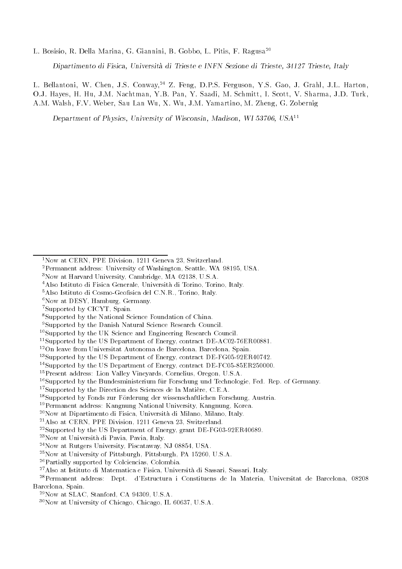L. Bosisio, R. Della Marina, G. Giannini, B. Gobbo, L. Pitis, F. Ragusa<sup>20</sup>

Dipartimento di Fisica, Universita di Trieste e INFN Sezione di Trieste, 34127 Trieste, Italy

L. Bellantoni, W. Chen, J.S. Conway,<sup>24</sup> Z. Feng, D.P.S. Ferguson, Y.S. Gao, J. Grahl, J.L. Harton, O.J. Hayes, H. Hu, J.M. Nachtman, Y.B. Pan, Y. Saadi, M. Schmitt, I. Scott, V. Sharma, J.D. Turk, A.M. Walsh, F.V. Weber, Sau Lan Wu, X. Wu, J.M. Yamartino, M. Zheng, G. Zobernig

Department of Physics, University of Wisconsin, Madison, WI 53706, USA11

- 3Now at Harvard University, Cambridge, MA 02138, U.S.A.
- 4Also Istituto di Fisica Generale, Universita di Torino, Torino, Italy.
- <sup>5</sup>Also Istituto di Cosmo-Geofisica del C.N.R., Torino, Italy.
- $6$ Now at DESY, Hamburg, Germany.
- 7Supported by CICYT, Spain.
- 8Supported by the National Science Foundation of China.
- 9Supported by the Danish Natural Science Research Council.
- <sup>10</sup>Supported by the UK Science and Engineering Research Council.
- <sup>11</sup>Supported by the US Department of Energy, contract DE-AC02-76ER00881.
- 12On leave from Universitat Autonoma de Barcelona, Barcelona, Spain.
- 13Supported by the US Department of Energy, contract DE-FG05-92ER40742.
- 14Supported by the US Department of Energy, contract DE-FC05-85ER250000.
- 15Present address: Lion Valley Vineyards, Cornelius, Oregon, U.S.A.
- <sup>16</sup>Supported by the Bundesministerium für Forschung und Technologie, Fed. Rep. of Germany.
- 17Supported by the Direction des Sciences de la Matiere, C.E.A.
- <sup>18</sup>Supported by Fonds zur Förderung der wissenschaftlichen Forschung, Austria.
- 19Permanent address: Kangnung National University, Kangnung, Korea.
- 20Now at Dipartimento di Fisica, Universita di Milano, Milano, Italy.
- 21Also at CERN, PPE Division, 1211 Geneva 23, Switzerland.
- 22Supported by the US Department of Energy, grant DE-FG03-92ER40689.
- 23Now at Universita di Pavia, Pavia, Italy.
- 24Now at Rutgers University, Piscataway, NJ 08854, USA.
- 25Now at University of Pittsburgh, Pittsburgh, PA 15260, U.S.A.
- 26Partially supported by Colciencias, Colombia.
- 27Also at Istituto di Matematica e Fisica, Universita di Sassari, Sassari, Italy.
- 28Permanent address: Dept. d'Estructura i Constituens de la Materia, Universitat de Barcelona, 08208 Barcelona, Spain.
	- 29Now at SLAC, Stanford, CA 94309, U.S.A.
	- 30Now at University of Chicago, Chicago, IL 60637, U.S.A.

<sup>1</sup>Now at CERN, PPE Division, 1211 Geneva 23, Switzerland.

<sup>2</sup>Permanent address: University of Washington, Seattle, WA 98195, USA.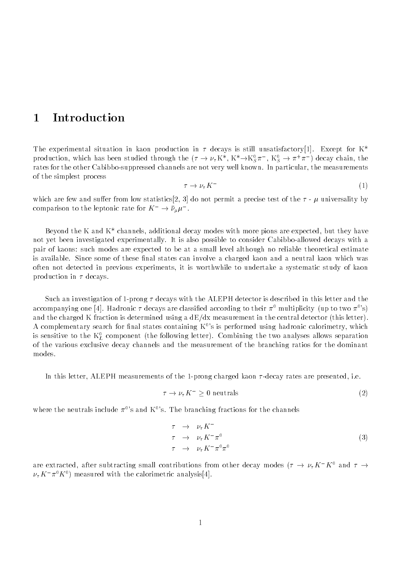#### **Introduction**  $\mathbf{1}$

The experimental situation in kaon production in  $\tau$  decays is still unsatisfactory[1]. Except for K<sup>\*</sup> production, which has been studied through the  $(\tau \to \nu_\tau K^r, K^r \to K^s_S \pi^-, K^s_S \to \pi^+ \pi^-)$  decay chain, the rates for the other Cabibbo-suppressed channels are not very well known. In particular, the measurements of the simplest process

$$
\tau \to \nu_{\tau} K^- \tag{1}
$$

which are few and suffer from low statistics[2, 3] do not permit a precise test of the  $\tau$  -  $\mu$  universality by comparison to the leptonic rate for  $K^- \to \nu_\mu \mu^-$ .

Beyond the K and  $K^*$  channels, additional decay modes with more pions are expected, but they have not yet been investigated experimentally. It is also possible to consider Cabibbo-allowed decays with a pair of kaons: such modes are expected to be at a small level although no reliable theoretical estimate is available. Since some of these final states can involve a charged kaon and a neutral kaon which was often not detected in previous experiments, it is worthwhile to undertake a systematic study of kaon production in  $\tau$  decays.

Such an investigation of 1-prong  $\tau$  decays with the ALEPH detector is described in this letter and the accompanying one [4]. Hadronic  $\tau$  decays are classified according to their  $\pi^0$  multiplicity (up to two  $\pi^0$ 's) and the charged K fraction is determined using a  $dE/dx$  measurement in the central detector (this letter). A complementary search for final states containing  $K^0$ 's is performed using hadronic calorimetry, which is sensitive to the  $\kappa_L^r$  component (the following letter). Combining the two analyses allows separation of the various exclusive decay channels and the measurement of the branching ratios for the dominant modes.

In this letter, ALEPH measurements of the 1-prong charged kaon  $\tau$ -decay rates are presented, i.e.

$$
\tau \to \nu_{\tau} K^{-} \ge 0 \text{ neutrals} \tag{2}
$$

where the neutrals include  $\pi^0$ 's and K<sup>0</sup>'s. The branching fractions for the channels

$$
\begin{array}{rcl}\n\tau & \to & \nu_{\tau} K^{-} \\
\tau & \to & \nu_{\tau} K^{-} \pi^{0} \\
\tau & \to & \nu_{\tau} K^{-} \pi^{0} \pi^{0}\n\end{array} \tag{3}
$$

are extracted, after subtracting small contributions from other decay modes  $(\tau \to \nu_{\tau} K^{-} K^{0}$  and  $\tau \to$  $\nu_{\tau}$ K  $\pi$ °K°) measured with the calorimetric analysis[4].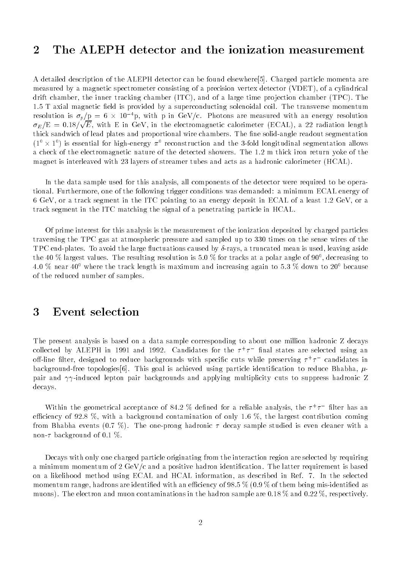# 2 The ALEPH detector and the ionization measurement

A detailed description of the ALEPH detector can be found elsewhere[5]. Charged particle momenta are measured by a magnetic spectrometer consisting of a precision vertex detector (VDET), of a cylindrical drift chamber, the inner tracking chamber  $(ITC)$ , and of a large time projection chamber  $(TPC)$ . The 1.5 T axial magnetic field is provided by a superconducting solenoidal coil. The transverse momentum resolution is  $\sigma_p/p = 6 \times 10^{-1}$ p, with p in GeV/c. Photons are measured with an energy resolution  $\sigma_E/E = 0.18/\sqrt{E}$ , with E in GeV, in the electromagnetic calorimeter (ECAL), a 22 radiation length thick sandwich of lead plates and proportional wire chambers. The fine solid-angle readout segmentation  $(1-x)$  is essential for high-energy  $\pi$  - reconstruction and the 3-fold longitudinal segmentation allows a check of the electromagnetic nature of the detected showers. The 1.2 m thick iron return yoke of the magnet is interleaved with 23 layers of streamer tubes and acts as a hadronic calorimeter (HCAL).

In the data sample used for this analysis, all components of the detector were required to be operational. Furthermore, one of the following trigger conditions was demanded: a minimum ECAL energy of 6 GeV, or a track segment in the ITC pointing to an energy deposit in ECAL of a least 1.2 GeV, or a track segment in the ITC matching the signal of a penetrating particle in HCAL.

Of prime interest for this analysis is the measurement of the ionization deposited by charged particles traversing the TPC gas at atmospheric pressure and sampled up to 330 times on the sense wires of the TPC end-plates. To avoid the large fluctuations caused by  $\delta$ -rays, a truncated mean is used, leaving aside the 40 % largest values. The resulting resolution is 5.0 % for tracks at a polar angle of 90°, decreasing to 4.0 % near 40<sup>0</sup> where the track length is maximum and increasing again to 5.3 % down to 20<sup>0</sup> because of the reduced number of samples.

### 3 Event selection

The present analysis is based on a data sample corresponding to about one million hadronic Z decays collected by ALEPH in 1991 and 1992. Uandidates for the  $\tau^+\tau^-$  final states are selected using an off-line filter, designed to reduce backgrounds with specific cuts while preserving  $\tau^+\tau^-$  candidates in background-free topologies [6]. This goal is achieved using particle identification to reduce Bhabha,  $\mu$ pair and  $\gamma\gamma$ -induced lepton pair backgrounds and applying multiplicity cuts to suppress hadronic Z decays.

Within the geometrical acceptance of 84.2  $\%$  defined for a reliable analysis, the  $\tau^+\tau^-$  filter has an efficiency of 92.8 %, with a background contamination of only 1.6 %, the largest contribution coming from Bhabha events (0.7 %). The one-prong hadronic  $\tau$  decay sample studied is even cleaner with a non- $\tau$  background of 0.1 %.

Decays with only one charged particle originating from the interaction region are selected by requiring a minimum momentum of 2 GeV/c and a positive hadron identification. The latter requirement is based on a likelihood method using ECAL and HCAL information, as described in Ref. 7. In the selected momentum range, hadrons are identified with an efficiency of 98.5  $\%$  (0.9  $\%$  of them being mis-identified as muons). The electron and muon contaminations in the hadron sample are 0.18  $\%$  and 0.22  $\%$ , respectively.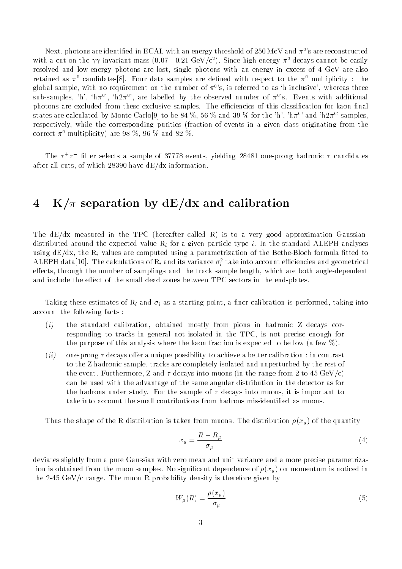Next, photons are identified in ECAL with an energy threshold of 250 MeV and  $\pi^0$ 's are reconstructed with a cut on the  $\gamma\gamma$  invariant mass (0.07 - 0.21 GeV/c<sup>2</sup>). Since high-energy  $\pi^0$  decays cannot be easily resolved and low-energy photons are lost, single photons with an energy in excess of 4 GeV are also retained as  $\pi^0$  candidates<sup>[8]</sup>. Four data samples are defined with respect to the  $\pi^0$  multiplicity : the global sample, with no requirement on the number of  $\pi^0$ 's, is referred to as 'h inclusive', whereas three sub-samples, 'h', 'h $\pi$ <sup>o</sup>', 'h2 $\pi$ <sup>o</sup>', are labelled by the observed number of  $\pi$ <sup>o</sup>'s. Events with additional photons are excluded from these exclusive samples. The efficiencies of this classification for kaon final states are calculated by Monte Carlo[9] to be 84 %, 56 % and 39 % for the 'h', 'h $\pi^0$ ' and 'h2 $\pi^0$ ' samples, respectively, while the corresponding purities (fraction of events in a given class originating from the correct  $\pi^0$  multiplicity) are 98 %, 96 % and 82 %.

The  $\tau^+\tau^-$  -filter selects a sample of 37778 events, yielding 28481 one-prong hadronic  $\tau$  candidates after all cuts, of which 28390 have dE/dx information.

### 4 K/ $\pi$  separation by dE/dx and calibration

The dE/dx measured in the TPC (hereafter called R) is to a very good approximation Gaussiandistributed around the expected value  $R_i$  for a given particle type i. In the standard ALEPH analyses using  $dE/dx$ , the  $R_i$  values are computed using a parametrization of the Bethe-Bloch formula fitted to ALEPH data[10]. The calculations of  $\kappa_i$  and its variance  $\sigma_i^-$  take into account emclencies and geometrical effects, through the number of samplings and the track sample length, which are both angle-dependent and include the effect of the small dead zones between TPC sectors in the end-plates.

Taking these estimates of  $R_i$  and  $\sigma_i$  as a starting point, a finer calibration is performed, taking into account the following facts :

- (i) the standard calibration, obtained mostly from pions in hadronic Z decays corresponding to tracks in general not isolated in the TPC, is not precise enough for the purpose of this analysis where the kaon fraction is expected to be low (a few %).
- (ii) one-prong  $\tau$  decays offer a unique possibility to achieve a better calibration : in contrast to the Z hadronic sample, tracks are completely isolated and unperturbed by the rest of the event. Furthermore, Z and  $\tau$  decays into muons (in the range from 2 to 45 GeV/c) can be used with the advantage of the same angular distribution in the detector as for the hadrons under study. For the sample of  $\tau$  decays into muons, it is important to take into account the small contributions from hadrons mis-identified as muons.

Thus the shape of the R distribution is taken from muons. The distribution  $\rho(x_{\mu})$  of the quantity

$$
x_{\mu} = \frac{R - R_{\mu}}{\sigma_{\mu}}\tag{4}
$$

deviates slightly from a pure Gaussian with zero mean and unit variance and a more precise parametrization is obtained from the muon samples. No significant dependence of  $\rho(x_\mu)$  on momentum is noticed in the 2-45 GeV/c range. The muon R probability density is therefore given by

$$
W_{\mu}(R) = \frac{\rho(x_{\mu})}{\sigma_{\mu}} \tag{5}
$$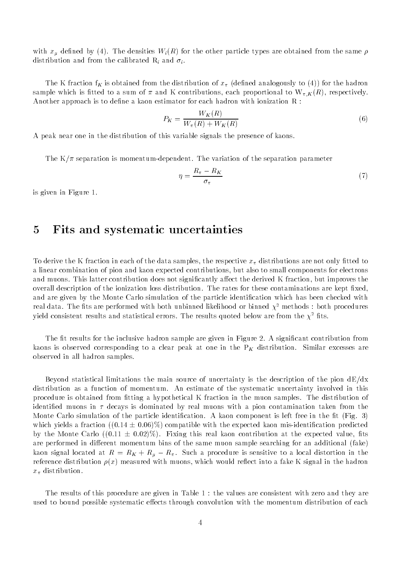with  $x_{\mu}$  defined by (4). The densities  $W_i(R)$  for the other particle types are obtained from the same  $\rho$ distribution and from the calibrated  $R_i$  and  $\sigma_i$ .

The K fraction  $f_K$  is obtained from the distribution of  $x_{\pi}$  (defined analogously to (4)) for the hadron sample which is fitted to a sum of  $\pi$  and K contributions, each proportional to  $W_{\pi,K}(R)$ , respectively. Another approach is to define a kaon estimator for each hadron with ionization  $R$ :

$$
P_K = \frac{W_K(R)}{W_\pi(R) + W_K(R)}\tag{6}
$$

A peak near one in the distribution of this variable signals the presence of kaons.

The  $K/\pi$  separation is momentum-dependent. The variation of the separation parameter

$$
\eta = \frac{R_{\pi} - R_K}{\sigma_{\pi}} \tag{7}
$$

is given in Figure 1.

### 5 Fits and systematic uncertainties

To derive the K fraction in each of the data samples, the respective  $x_{\pi}$  distributions are not only fitted to a linear combination of pion and kaon expected contributions, but also to small components for electrons and muons. This latter contribution does not significantly affect the derived K fraction, but improves the overall description of the ionization loss distribution. The rates for these contaminations are kept fixed, and are given by the Monte Carlo simulation of the particle identification which has been checked with real data. The fits are performed with both unbinned likelihood or binned  $\chi^2$  methods : both procedures yield consistent results and statistical errors. The results quoted below are from the  $\chi^2$  fits.

The fit results for the inclusive hadron sample are given in Figure 2. A significant contribution from kaons is observed corresponding to a clear peak at one in the  $P_K$  distribution. Similar excesses are observed in all hadron samples.

Beyond statistical limitations the main source of uncertainty is the description of the pion dE/dx distribution as a function of momentum. An estimate of the systematic uncertainty involved in this procedure is obtained from fitting a hypothetical K fraction in the muon samples. The distribution of identified muons in  $\tau$  decays is dominated by real muons with a pion contamination taken from the Monte Carlo simulation of the particle identification. A kaon component is left free in the fit (Fig. 3) which yields a fraction  $((0.14 \pm 0.06)\%)$  compatible with the expected kaon mis-identification predicted by the Monte Carlo  $((0.11 \pm 0.02)\%)$ . Fixing this real kaon contribution at the expected value, fits are performed in different momentum bins of the same muon sample searching for an additional (fake) kaon signal located at  $R = R_K + R_\mu - R_\pi$ . Such a procedure is sensitive to a local distortion in the reference distribution  $\rho(x)$  measured with muons, which would reflect into a fake K signal in the hadron  $x_{\pi}$  distribution.

The results of this procedure are given in Table 1 : the values are consistent with zero and they are used to bound possible systematic effects through convolution with the momentum distribution of each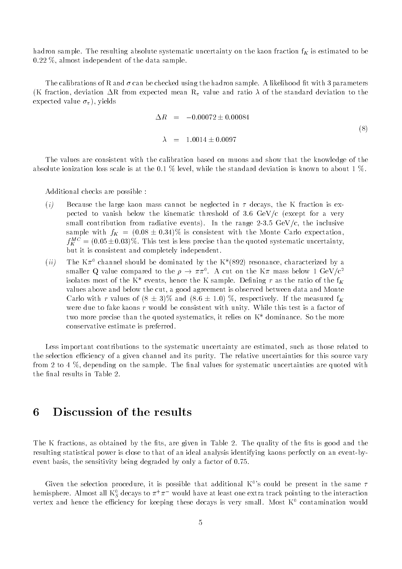hadron sample. The resulting absolute systematic uncertainty on the kaon fraction  $f_K$  is estimated to be 0.22 %, almost independent of the data sample.

The calibrations of R and  $\sigma$  can be checked using the hadron sample. A likelihood fit with 3 parameters (K fraction, deviation  $\Delta R$  from expected mean  $R_{\pi}$  value and ratio  $\lambda$  of the standard deviation to the expected value  $\sigma_{\pi}$ ), yields

$$
\Delta R = -0.00072 \pm 0.00084
$$
  

$$
\lambda = 1.0014 \pm 0.0097
$$
 (8)

The values are consistent with the calibration based on muons and show that the knowledge of the absolute ionization loss scale is at the 0.1 % level, while the standard deviation is known to about 1 %.

Additional checks are possible :

- (i) Because the large kaon mass cannot be neglected in  $\tau$  decays, the K fraction is expected to vanish below the kinematic threshold of 3.6  $GeV/c$  (except for a very small contribution from radiative events). In the range  $2-3.5 \text{ GeV/c}$ , the inclusive sample with  $f_K = (0.08 \pm 0.34)\%$  is consistent with the Monte Carlo expectation,  $f_K^{\perp\perp} =$  (0.05 ± 0.03)%. This test is less precise than the quoted systematic uncertainty, but it is consistent and completely independent.
- (ii) The K $\pi$ <sup>0</sup> channel should be dominated by the K\*(892) resonance, characterized by a smaller Q value compared to the  $\rho \rightarrow \pi \pi^+$ . A cut on the K  $\pi$  mass below 1 GeV/c<sup>2</sup> isolates most of the  $K^*$  events, hence the K sample. Defining r as the ratio of the  $f_K$ values above and below the cut, a good agreement is observed between data and Monte Carlo with r values of  $(8 \pm 3)\%$  and  $(8.6 \pm 1.0)$  %, respectively. If the measured f<sub>K</sub> were due to fake kaons  $r$  would be consistent with unity. While this test is a factor of two more precise than the quoted systematics, it relies on K\* dominance. So the more conservative estimate is preferred.

Less important contributions to the systematic uncertainty are estimated, such as those related to the selection efficiency of a given channel and its purity. The relative uncertainties for this source vary from 2 to 4  $\%$ , depending on the sample. The final values for systematic uncertainties are quoted with the final results in Table 2.

# 6 Discussion of the results

The K fractions, as obtained by the fits, are given in Table 2. The quality of the fits is good and the resulting statistical power is close to that of an ideal analysis identifying kaons perfectly on an event-byevent basis, the sensitivity being degraded by only a factor of 0.75.

Given the selection procedure, it is possible that additional K<sup>0</sup>'s could be present in the same  $\tau$ hemisphere. Almost all  $\kappa_{S}^{\ast}$  decays to  $\pi^+\pi^-$  would have at least one extra track pointing to the interaction vertex and hence the efficiency for keeping these decays is very small. Most  $K^0$  contamination would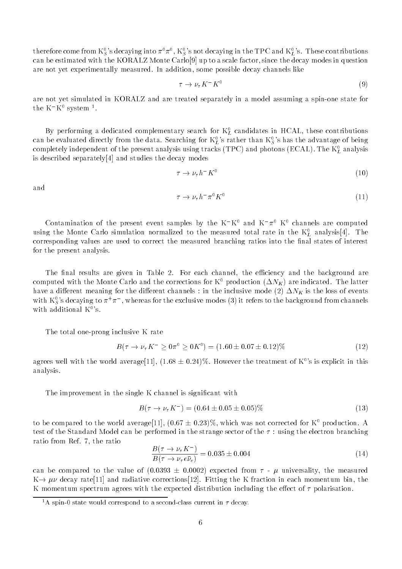therefore come from  $\mathrm{K}^0_S$  's decaying into  $\pi^0\pi^0,\mathrm{K}^0_S$  's not decaying in the TPC and  $\mathrm{K}^0_L$  's. These contributions can be estimated with the KORALZ Monte Carlo[9] up to a scale factor, since the decay modes in question are not yet experimentally measured. In addition, some possible decay channels like

$$
\tau \to \nu_{\tau} K^{-} K^{0} \tag{9}
$$

are not yet simulated in KORALZ and are treated separately in a model assuming a spin-one state for the K K system ".

By performing a dedicated complementary search for  $\kappa_L$  candidates in HCAL, these contributions can be evaluated directly from the data. Searching for  $K^0_L$ 's rather than  $K^0_S$ 's has the advantage of being completely independent of the present analysis using tracks (TPC) and photons (ECAL). The  $\kappa_L$  analysis is described separately[4] and studies the decay modes

$$
\tau \to \nu_{\tau} h^{-} K^{0} \tag{10}
$$

and

$$
\tau \to \nu_{\tau} h^{-} \pi^{0} K^{0} \tag{11}
$$

Contamination of the present event samples by the K K and K  $\pi^\circ$  K channels are computed  $\blacksquare$ using the Monte Carlo simulation normalized to the measured total rate in the  $\kappa_L^*$  analysis[4]. The corresponding values are used to correct the measured branching ratios into the final states of interest for the present analysis.

The final results are given in Table 2. For each channel, the efficiency and the background are computed with the Monte Carlo and the corrections for  $K^0$  production  $(\Delta N_K)$  are indicated. The latter have a different meaning for the different channels : in the inclusive mode (2)  $\Delta N_K$  is the loss of events with  $\mathrm{K}^0_S$ 's decaying to  $\pi^+\pi^-$ , whereas for the exclusive modes (3) it refers to the background from channels with additional  $K^0$ 's.

The total one-prong inclusive K rate

$$
B(\tau \to \nu_{\tau} K^{-} \ge 0 \pi^{0} \ge 0 K^{0}) = (1.60 \pm 0.07 \pm 0.12)\% \tag{12}
$$

agrees well with the world average [11],  $(1.68 \pm 0.24)\%$ . However the treatment of K<sup>0</sup>'s is explicit in this analysis.

The improvement in the single K channel is signicant with

$$
B(\tau \to \nu_{\tau} K^{-}) = (0.64 \pm 0.05 \pm 0.05)\% \tag{13}
$$

to be compared to the world average[11],  $(0.67 \pm 0.23)\%$ , which was not corrected for K<sup>0</sup> production. A test of the Standard Model can be performed in the strange sector of the  $\tau$ : using the electron branching ratio from Ref. 7, the ratio

$$
\frac{B(\tau \to \nu_{\tau} K^{-})}{B(\tau \to \nu_{\tau} e \bar{\nu}_{e})} = 0.035 \pm 0.004
$$
\n(14)

can be compared to the value of  $(0.0393 \pm 0.0002)$  expected from  $\tau$  -  $\mu$  universality, the measured  $K \rightarrow \mu\nu$  decay rate [11] and radiative corrections [12]. Fitting the K fraction in each momentum bin, the K momentum spectrum agrees with the expected distribution including the effect of  $\tau$  polarisation.

<sup>&</sup>lt;sup>1</sup>A spin-0 state would correspond to a second-class current in  $\tau$  decay.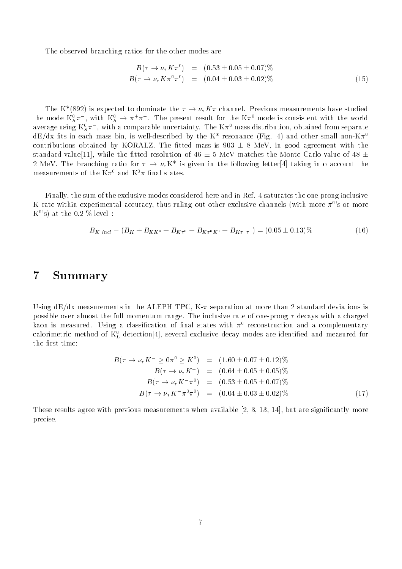The observed branching ratios for the other modes are

$$
B(\tau \to \nu_{\tau} K \pi^{0}) = (0.53 \pm 0.05 \pm 0.07)\%
$$
  
\n
$$
B(\tau \to \nu_{\tau} K \pi^{0} \pi^{0}) = (0.04 \pm 0.03 \pm 0.02)\%
$$
\n(15)

The K<sup>\*</sup>(892) is expected to dominate the  $\tau \to \nu_\tau K \pi$  channel. Previous measurements have studied the mode  $\kappa_{S}^{z}\pi$  , with  $\kappa_{S}^{z}\to\pi^{+}\pi^{-}$  . The present result for the  $\kappa\pi^{z}$  mode is consistent with the world average using  $\kappa_{\rm S} \pi_{\rm o}$  , with a comparable uncertainty. The K $\pi^{\circ}$  mass distribution, obtained from separate  $dE/dx$  fits in each mass bin, is well-described by the K<sup>\*</sup> resonance (Fig. 4) and other small non-K $\pi$ <sup>0</sup> contributions obtained by KORALZ. The fitted mass is  $903 \pm 8$  MeV, in good agreement with the standard value[11], while the fitted resolution of 46  $\pm$  5 MeV matches the Monte Carlo value of 48  $\pm$ 2 MeV. The branching ratio for  $\tau \to \nu_{\tau} K^*$  is given in the following letter [4] taking into account the measurements of the  $K\pi^0$  and  $K^0\pi$  final states.

Finally, the sum of the exclusive modes considered here and in Ref. 4 saturates the one-prong inclusive K rate within experimental accuracy, thus ruling out other exclusive channels (with more  $\pi^0$ 's or more K $^{\rm o}$ 's) at the 0.2  $\%$  level :

$$
B_{K\text{incl}} - (B_K + B_{KK^0} + B_{K\pi^0} + B_{K\pi^0K^0} + B_{K\pi^0\pi^0}) = (0.05 \pm 0.13)\% \tag{16}
$$

#### **Summary**  $\overline{7}$

Using  $dE/dx$  measurements in the ALEPH TPC, K- $\pi$  separation at more than 2 standard deviations is possible over almost the full momentum range. The inclusive rate of one-prong  $\tau$  decays with a charged kaon is measured. Using a classification of final states with  $\pi^0$  reconstruction and a complementary calorimetric method of  $\kappa_L$  detection[4], several exclusive decay modes are identified and measured for the first time:

$$
B(\tau \to \nu_{\tau} K^{-} \ge 0\pi^{0} \ge K^{0}) = (1.60 \pm 0.07 \pm 0.12)\%
$$
  
\n
$$
B(\tau \to \nu_{\tau} K^{-}) = (0.64 \pm 0.05 \pm 0.05)\%
$$
  
\n
$$
B(\tau \to \nu_{\tau} K^{-}\pi^{0}) = (0.53 \pm 0.05 \pm 0.07)\%
$$
  
\n
$$
B(\tau \to \nu_{\tau} K^{-}\pi^{0}\pi^{0}) = (0.04 \pm 0.03 \pm 0.02)\%
$$
 (17)

These results agree with previous measurements when available  $[2, 3, 13, 14]$ , but are significantly more precise.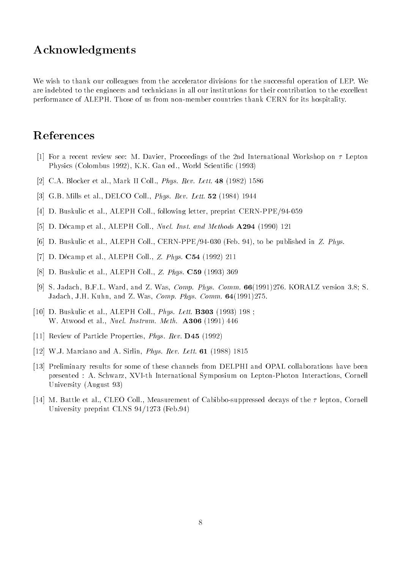## Acknowledgments

We wish to thank our colleagues from the accelerator divisions for the successful operation of LEP. We are indebted to the engineers and technicians in all our institutions for their contribution to the excellent performance of ALEPH. Those of us from non-member countries thank CERN for its hospitality.

# References

- [1] For a recent review see: M. Davier, Proceedings of the 2nd International Workshop on  $\tau$  Lepton Physics (Colombus 1992), K.K. Gan ed., World Scientific (1993)
- [2] C.A. Blocker et al., Mark II Coll., Phys. Rev. Lett. 48 (1982) 1586
- [3] G.B. Mills et al., DELCO Coll., *Phys. Rev. Lett.* **52** (1984) 1944
- [4] D. Buskulic et al., ALEPH Coll., following letter, preprint CERN-PPE/94-059
- [5] D. Décamp et al., ALEPH Coll., Nucl. Inst. and Methods A294 (1990) 121
- [6] D. Buskulic et al., ALEPH Coll., CERN-PPE/94-030 (Feb. 94), to be published in Z. Phys.
- [7] D. Décamp et al., ALEPH Coll., Z. Phys. C54 (1992) 211
- [8] D. Buskulic et al., ALEPH Coll., Z. Phys. C59 (1993) 369
- [9] S. Jadach, B.F.L. Ward, and Z. Was, Comp. Phys. Comm.  $66(1991)276$ . KORALZ version 3.8; S. Jadach, J.H. Kuhn, and Z. Was, Comp. Phys. Comm. 64(1991)275.
- [10] D. Buskulic et al., ALEPH Coll., *Phys. Lett.* **B303** (1993) 198; W. Atwood et al., *Nucl. Instrum. Meth.* **A306** (1991) 446
- [11] Review of Particle Properties, *Phys. Rev.* **D45** (1992)
- [12] W.J. Marciano and A. Sirlin, Phys. Rev. Lett. 61 (1988) 1815
- [13] Preliminary results for some of these channels from DELPHI and OPAL collaborations have been presented : A. Schwarz, XVI-th International Symposium on Lepton-Photon Interactions, Cornell University (August 93)
- [14] M. Battle et al., CLEO Coll., Measurement of Cabibbo-suppressed decays of the  $\tau$  lepton, Cornell University preprint CLNS 94/1273 (Feb.94)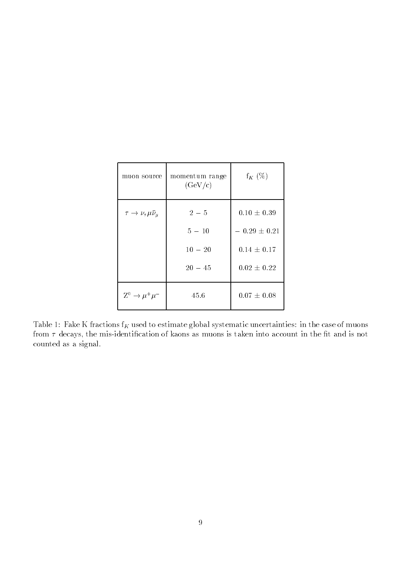| muon source                           | momentum range<br>(GeV/c) | $f_K(\%)$        |
|---------------------------------------|---------------------------|------------------|
| $\tau \to \nu_\tau \mu \bar{\nu}_\mu$ | $2 - 5$                   | $0.10 \pm 0.39$  |
|                                       | $5 - 10$                  | $-0.29 \pm 0.21$ |
|                                       | $10 - 20$                 | $0.14 \pm 0.17$  |
|                                       | $20 - 45$                 | $0.02 \pm 0.22$  |
| $Z^0 \rightarrow \mu^+ \mu^-$         | 45.6                      | $0.07 \pm 0.08$  |

Table 1: Fake K fractions  $f_K$  used to estimate global systematic uncertainties: in the case of muons from  $\tau$  decays, the mis-identification of kaons as muons is taken into account in the fit and is not counted as a signal.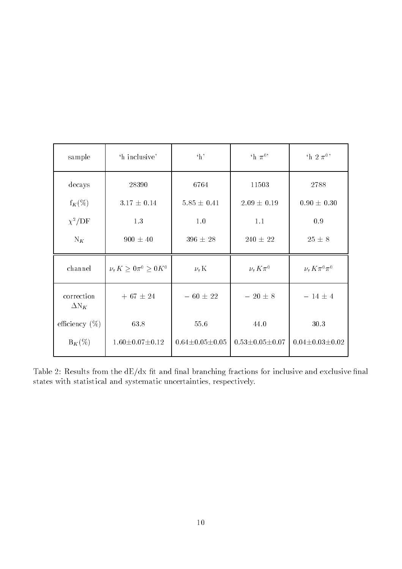| sample                     | 'h inclusive'                          | $\cdot_h$ ,              | $\mathbf{h} \pi^0$       | 'h 2 $\pi^0$ '           |
|----------------------------|----------------------------------------|--------------------------|--------------------------|--------------------------|
| decays                     | 28390                                  | 6764                     | 11503                    | 2788                     |
| $f_K(\%)$                  | $3.17 \pm 0.14$                        | $5.85 \pm 0.41$          | $2.09 \pm 0.19$          | $0.90 \pm 0.30$          |
| $\chi^2/\text{DF}$         | 1.3                                    | 1.0                      | 1.1                      | 0.9                      |
| $N_K$                      | $900 \pm 40$                           | $396 \pm 28$             | $240 \pm 22$             | $25 \pm 8$               |
| channel                    | $\nu_{\tau} K \geq 0 \pi^0 \geq 0 K^0$ | $\nu_{\tau}$ K           | $\nu_{\tau} K \pi^0$     | $\nu_\tau K \pi^0 \pi^0$ |
| correction<br>$\Delta N_K$ | $+ 67 \pm 24$                          | $-$ 60 $\pm$ 22          | $-20 \pm 8$              | $-14 \pm 4$              |
| efficiency $(\%)$          | 63.8                                   | 55.6                     | 44.0                     | $30.3\,$                 |
| $B_K(\%)$                  | $1.60 \pm 0.07 \pm 0.12$               | $0.64 \pm 0.05 \pm 0.05$ | $0.53 \pm 0.05 \pm 0.07$ | $0.04 \pm 0.03 \pm 0.02$ |

Table 2: Results from the  $dE/dx$  fit and final branching fractions for inclusive and exclusive final states with statistical and systematic uncertainties, respectively.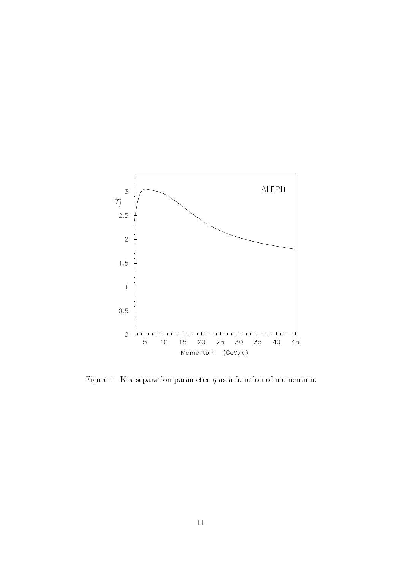

Figure 1: K- $\pi$  separation parameter  $\eta$  as a function of momentum.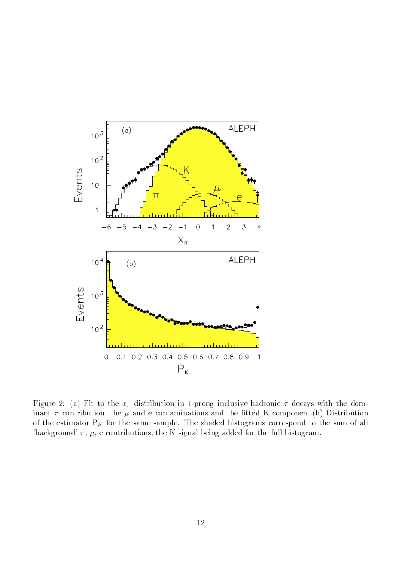

Figure 2: (a) Fit to the  $x_{\pi}$  distribution in 1-prong inclusive hadronic  $\tau$  decays with the dominant  $\pi$  contribution, the  $\mu$  and e contaminations and the fitted K component.(b) Distribution of the estimator  $P_K$  for the same sample. The shaded histograms correspond to the sum of all 'background'  $\pi$ ,  $\mu$ , e contributions, the K signal being added for the full histogram.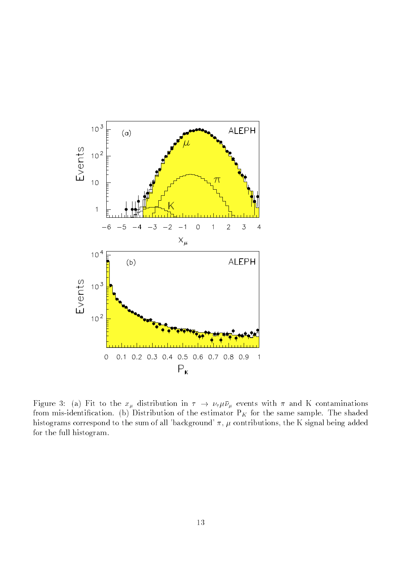

 $\mathcal{F}^{\text{max}}$  ,  $\mathcal{F}^{\text{max}}$  ,  $\mathcal{F}^{\text{max}}$  and  $\mathcal{F}^{\text{max}}$  is an and  $\mathcal{F}^{\text{max}}$  , with  $\mathcal{F}^{\text{max}}$  , and  $\mathcal{F}^{\text{max}}$  , and  $\mathcal{F}^{\text{max}}$ from mis-identification. (b) Distribution of the estimator  $P_K$  for the same sample. The shaded histograms correspond to the sum of all 'background'  $\pi$ ,  $\mu$  contributions, the K signal being added for the full histogram.